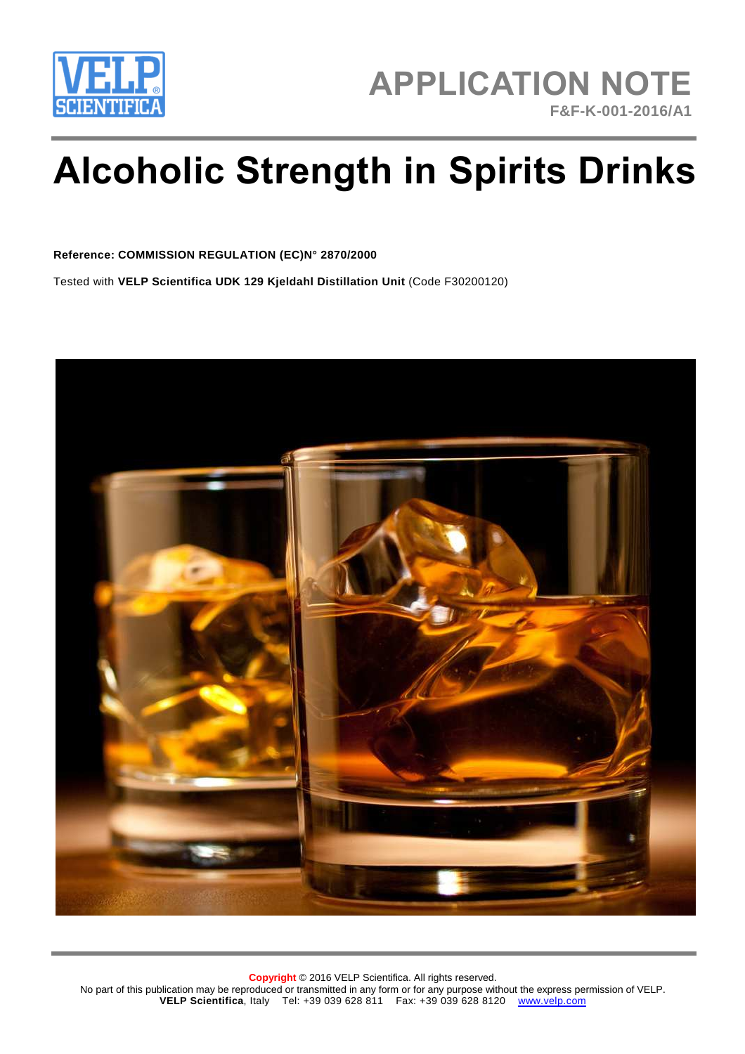

# **Alcoholic Strength in Spirits Drinks**

#### **Reference: COMMISSION REGULATION (EC)N° 2870/2000**

Tested with **VELP Scientifica UDK 129 Kjeldahl Distillation Unit** (Code F30200120)

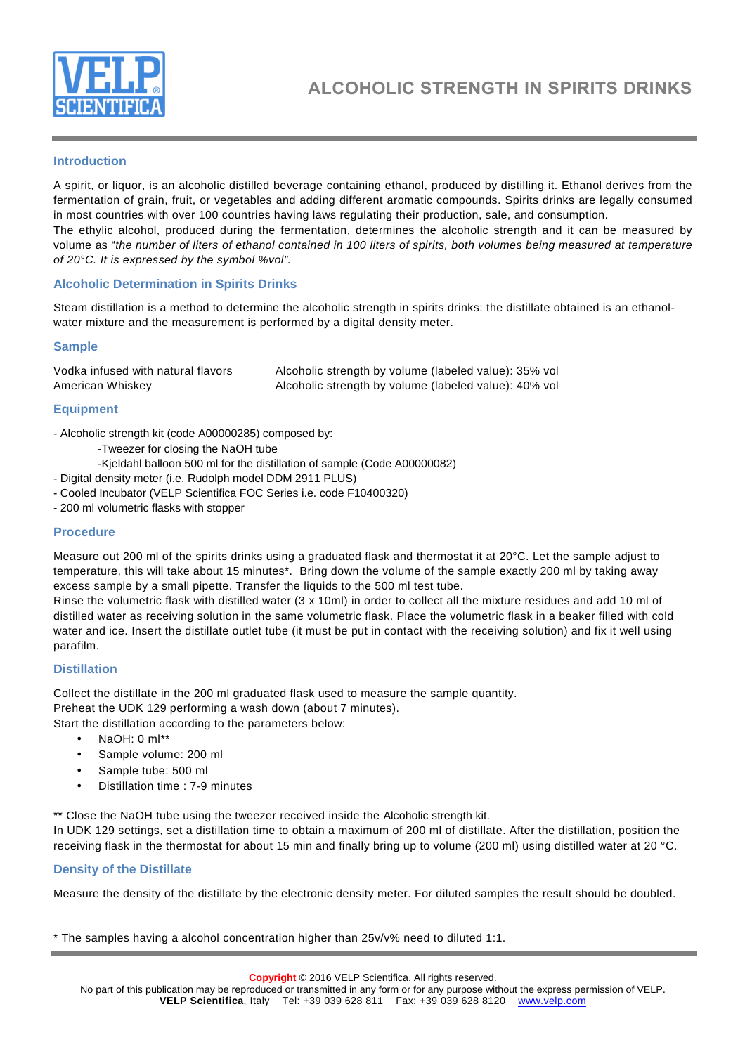

# **Introduction**

A spirit, or liquor, is an alcoholic distilled beverage containing ethanol, produced by distilling it. Ethanol derives from the fermentation of grain, fruit, or vegetables and adding different aromatic compounds. Spirits drinks are legally consumed in most countries with over 100 countries having laws regulating their production, sale, and consumption. The ethylic alcohol, produced during the fermentation, determines the alcoholic strength and it can be measured by volume as "the number of liters of ethanol contained in 100 liters of spirits, both volumes being measured at temperature of 20°C. It is expressed by the symbol %vol".

#### **Alcoholic Determination in Spirits Drinks**

Steam distillation is a method to determine the alcoholic strength in spirits drinks: the distillate obtained is an ethanolwater mixture and the measurement is performed by a digital density meter.

#### **Sample**

| Vodka infused with natural flavors | Alcoholic strength by volume (labeled value): 35% vol |
|------------------------------------|-------------------------------------------------------|
| American Whiskey                   | Alcoholic strength by volume (labeled value): 40% vol |

#### **Equipment**

- Alcoholic strength kit (code A00000285) composed by:

- -Tweezer for closing the NaOH tube
- -Kjeldahl balloon 500 ml for the distillation of sample (Code A00000082)
- Digital density meter (i.e. Rudolph model DDM 2911 PLUS)
- Cooled Incubator (VELP Scientifica FOC Series i.e. code F10400320)
- 200 ml volumetric flasks with stopper

#### **Procedure**

Measure out 200 ml of the spirits drinks using a graduated flask and thermostat it at 20°C. Let the sample adjust to temperature, this will take about 15 minutes\*. Bring down the volume of the sample exactly 200 ml by taking away excess sample by a small pipette. Transfer the liquids to the 500 ml test tube.

Rinse the volumetric flask with distilled water (3 x 10ml) in order to collect all the mixture residues and add 10 ml of distilled water as receiving solution in the same volumetric flask. Place the volumetric flask in a beaker filled with cold water and ice. Insert the distillate outlet tube (it must be put in contact with the receiving solution) and fix it well using parafilm.

#### **Distillation**

Collect the distillate in the 200 ml graduated flask used to measure the sample quantity. Preheat the UDK 129 performing a wash down (about 7 minutes).

Start the distillation according to the parameters below:

- NaOH: 0 ml\*\*
- Sample volume: 200 ml
- Sample tube: 500 ml
- Distillation time : 7-9 minutes

\*\* Close the NaOH tube using the tweezer received inside the Alcoholic strength kit.

In UDK 129 settings, set a distillation time to obtain a maximum of 200 ml of distillate. After the distillation, position the receiving flask in the thermostat for about 15 min and finally bring up to volume (200 ml) using distilled water at 20 °C.

#### **Density of the Distillate**

Measure the density of the distillate by the electronic density meter. For diluted samples the result should be doubled.

\* The samples having a alcohol concentration higher than 25v/v% need to diluted 1:1.